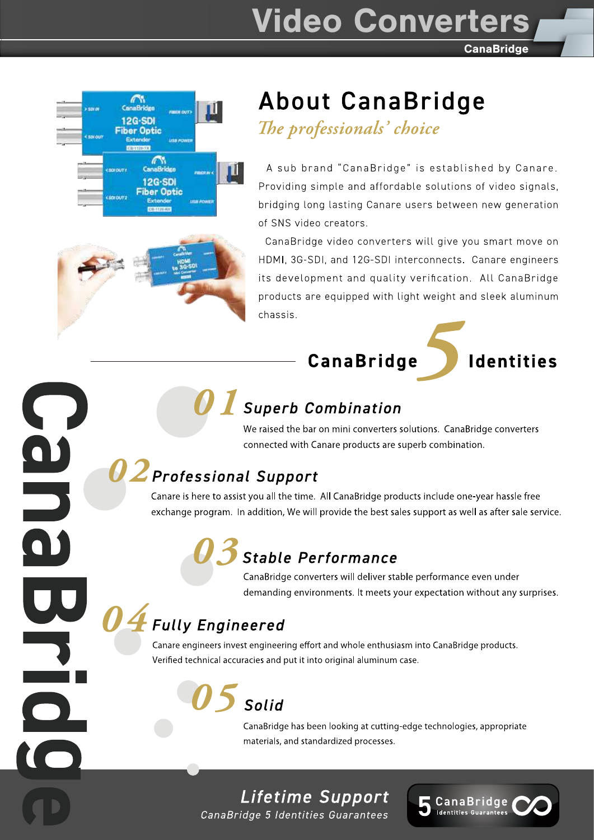# **Video Converters**

**CanaBridge** 



 $\begin{array}{c} \textbf{0} \end{array}$ 

# **About CanaBridge**

The professionals' choice

A sub brand "CanaBridge" is established by Canare. Providing simple and affordable solutions of video signals, bridging long lasting Canare users between new generation of SNS video creators.

CanaBridge video converters will give you smart move on HDMI, 3G-SDI, and 12G-SDI interconnects. Canare engineers its development and quality verification. All CanaBridge products are equipped with light weight and sleek aluminum chassis.





# **Superb Combination**

We raised the bar on mini converters solutions. CanaBridge converters connected with Canare products are superb combination.

# $\boldsymbol{U} \boldsymbol{Z}$ Professional Support

Canare is here to assist you all the time. All CanaBridge products include one-year hassle free exchange program. In addition, We will provide the best sales support as well as after sale service.

# **Stable Performance**

CanaBridge converters will deliver stable performance even under demanding environments. It meets your expectation without any surprises.

# **Fully Engineered**

Canare engineers invest engineering effort and whole enthusiasm into CanaBridge products. Verified technical accuracies and put it into original aluminum case.

# Solid

CanaBridge has been looking at cutting-edge technologies, appropriate materials, and standardized processes.

# Lifetime Support

CanaBridge 5 Identities Guarantees

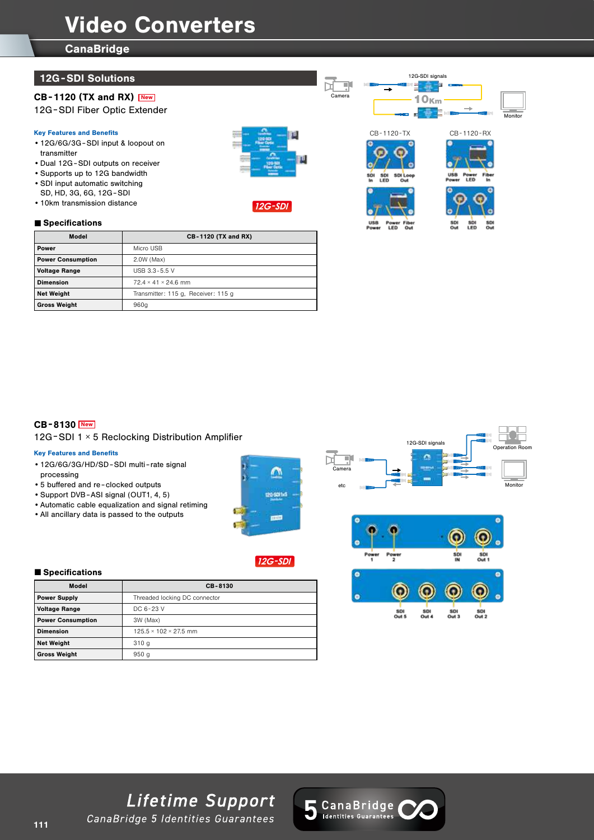# Video Converters

Model **CB-1120 (TX and RX)** 

**CanaBridge** 

## 12G -SDI Solutions

# CB-1120 (TX and RX) New

12G -SDI Fiber Optic Extender

#### Key Features and Benefits

- •12G/6G/3G -SDI input & loopout on transmitter
- •Dual 12G -SDI outputs on receiver •Supports up to 12G bandwidth

**Power Micro USB** Power Consumption 2.0W (Max) Voltage Range USB 3.3-5.5 V **Dimension** 72.4 × 41 × 24.6 mm

Gross Weight 860g

- •SDI input automatic switching
- SD, HD, 3G, 6G, 12G -SDI
- •10km transmission distance

## ■ Specifications













Camera

# CB-8130 New

## 12G -SDI 1 × 5 Reclocking Distribution Amplifier

Net Weight Transmitter: 115 g, Receiver: 115 g

### Key Features and Benefits

- •12G/6G/3G/HD/SD-SDI multi-rate signal processing
- •5 buffered and re clocked outputs
- •Support DVB-ASI signal (OUT1, 4, 5)
- •Automatic cable equalization and signal retiming
- •All ancillary data is passed to the outputs



# **12G-SDI**







### ■ Specifications

| Model                    | CB-8130                           |
|--------------------------|-----------------------------------|
| <b>Power Supply</b>      | Threaded locking DC connector     |
| <b>Voltage Range</b>     | DC 6-23 V                         |
| <b>Power Consumption</b> | 3W (Max)                          |
| <b>Dimension</b>         | $125.5 \times 102 \times 27.5$ mm |
| <b>Net Weight</b>        | 310q                              |
| <b>Gross Weight</b>      | 950q                              |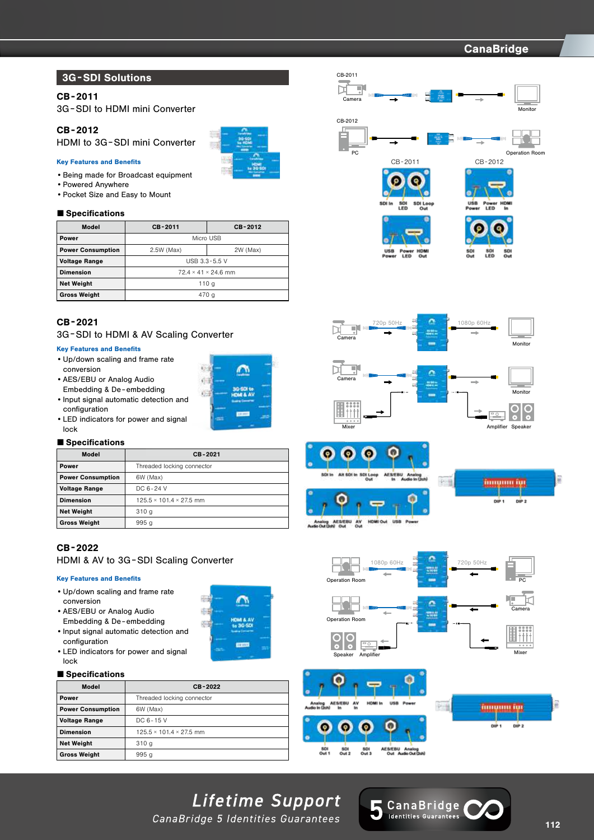# 12G CanaBridge -SDI CanaBridge -SDI CanaBridge -SDI CanaBridge -SDI CanaBridge -SDI CanaBridge -SDI CanaBridge

# 3G -SDI Solutions

## CB-2011

3G -SDI to HDMI mini Converter

## CB-2012

HDMI to 3G -SDI mini Converter

#### Key Features and Benefits

- •Being made for Broadcast equipment
- •Powered Anywhere
- •Pocket Size and Easy to Mount

#### ■ Specifications

| Model                    | CB-2011           | CB-2012                         |
|--------------------------|-------------------|---------------------------------|
| Power                    | Micro USB         |                                 |
| <b>Power Consumption</b> | 2.5W (Max)        | 2W (Max)                        |
| <b>Voltage Range</b>     | USB $3.3 - 5.5$ V |                                 |
| <b>Dimension</b>         |                   | $72.4 \times 41 \times 24.6$ mm |
| <b>Net Weight</b>        |                   | 110 a                           |
| Gross Weight             |                   | 470 a                           |

### CB-2021

#### 3G -SDI to HDMI & AV Scaling Converter

#### Key Features and Benefits

- •Up/down scaling and frame rate conversion
- •AES/EBU or Analog Audio Embedding & De - embedding
- •Input signal automatic detection and configuration
- •LED indicators for power and signal lock

#### ■ Specifications

| Model                    | CB-2021                             |
|--------------------------|-------------------------------------|
| Power                    | Threaded locking connector          |
| <b>Power Consumption</b> | 6W (Max)                            |
| <b>Voltage Range</b>     | DC 6-24 V                           |
| <b>Dimension</b>         | $125.5 \times 101.4 \times 27.5$ mm |
| <b>Net Weight</b>        | 310q                                |
| <b>Gross Weight</b>      | 995 <sub>g</sub>                    |

## CB-2022

HDMI & AV to 3G -SDI Scaling Converter

#### Key Features and Benefits

•Up/down scaling and frame rate conversion

•Input signal automatic detection and

•LED indicators for power and signal

•AES/EBU or Analog Audio Embedding & De - embedding



∩

 $\sqrt{2}$ 

#### ■ Specifications

configuration

lock

| Model                    | CB-2022                             |
|--------------------------|-------------------------------------|
| Power                    | Threaded locking connector          |
| <b>Power Consumption</b> | 6W (Max)                            |
| <b>Voltage Range</b>     | DC 6-15 V                           |
| <b>Dimension</b>         | $125.5 \times 101.4 \times 27.5$ mm |
| <b>Net Weight</b>        | 310q                                |
| <b>Gross Weight</b>      | 995q                                |













12G-SDI signals



Đ



# Lifetime Support

CanaBridge 5 Identities Guarantees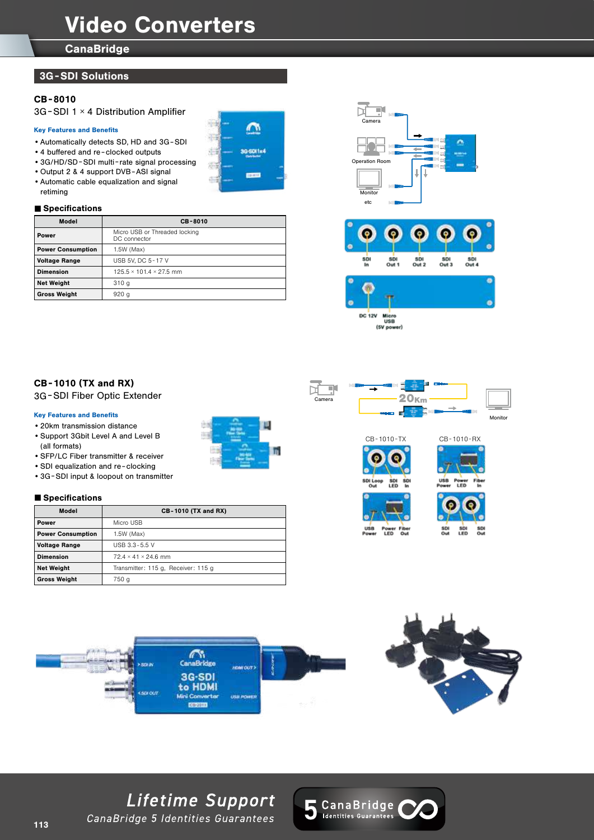# Video Converters

 $\curvearrowright$ 

**IG-SOF1x4** 

m to

**CanaBridge** 

## 3G -SDI Solutions

## CB-8010

3G -SDI 1 × 4 Distribution Amplifier

#### Key Features and Benefits

- •Automatically detects SD, HD and 3G -SDI
- •4 buffered and re clocked outputs
- •3G/HD/SD-SDI multi-rate signal processing
- •Output 2 & 4 support DVB-ASI signal •Automatic cable equalization and signal
- retiming

#### ■ Specifications

| Model                    | CB-8010                                       |
|--------------------------|-----------------------------------------------|
| Power                    | Micro USB or Threaded locking<br>DC connector |
| <b>Power Consumption</b> | 1.5W (Max)                                    |
| <b>Voltage Range</b>     | USB 5V, DC 5-17 V                             |
| <b>Dimension</b>         | $125.5 \times 101.4 \times 27.5$ mm           |
| <b>Net Weight</b>        | 310q                                          |
| <b>Gross Weight</b>      | 920q                                          |







(SV powe

## CB-1010 (TX and RX)

3G -SDI Fiber Optic Extender

#### Key Features and Benefits

- •20km transmission distance
- •Support 3Gbit Level A and Level B (all formats)
- •SFP/LC Fiber transmitter & receiver
- SDI equalization and re-clocking
- •3G -SDI input & loopout on transmitter

#### ■ Specifications

| Model                    | <b>CB-1010 (TX and RX)</b>           |
|--------------------------|--------------------------------------|
| Power                    | Micro USB                            |
| <b>Power Consumption</b> | 1.5W (Max)                           |
| <b>Voltage Range</b>     | USB $3.3 - 5.5$ V                    |
| <b>Dimension</b>         | $72.4 \times 41 \times 24.6$ mm      |
| <b>Net Weight</b>        | Transmitter: 115 g. Receiver: 115 g. |
| <b>Gross Weight</b>      | 750 g                                |









 $-2$ G-SD